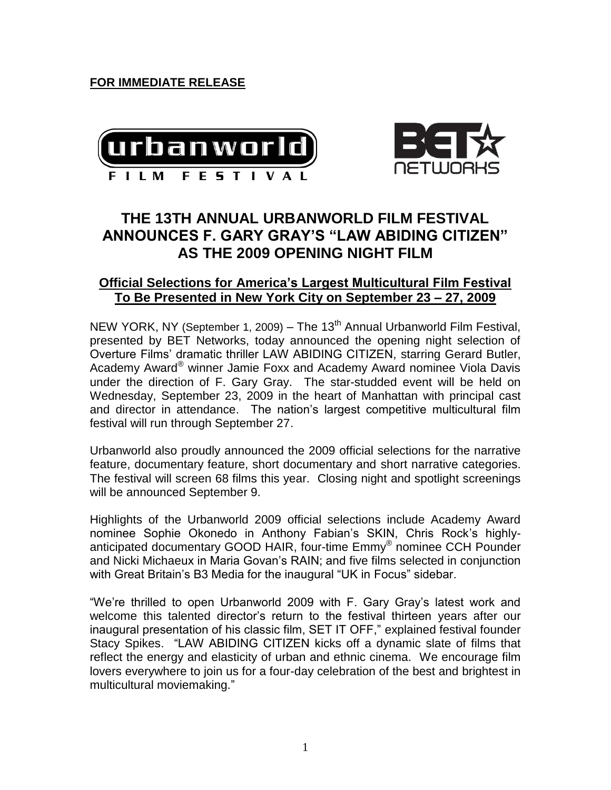**FOR IMMEDIATE RELEASE**





# **THE 13TH ANNUAL URBANWORLD FILM FESTIVAL ANNOUNCES F. GARY GRAY'S "LAW ABIDING CITIZEN" AS THE 2009 OPENING NIGHT FILM**

# **Official Selections for America's Largest Multicultural Film Festival To Be Presented in New York City on September 23 – 27, 2009**

NEW YORK, NY (September 1, 2009) – The 13<sup>th</sup> Annual Urbanworld Film Festival, presented by BET Networks, today announced the opening night selection of Overture Films' dramatic thriller LAW ABIDING CITIZEN, starring Gerard Butler, Academy Award® winner Jamie Foxx and Academy Award nominee Viola Davis under the direction of F. Gary Gray. The star-studded event will be held on Wednesday, September 23, 2009 in the heart of Manhattan with principal cast and director in attendance. The nation's largest competitive multicultural film festival will run through September 27.

Urbanworld also proudly announced the 2009 official selections for the narrative feature, documentary feature, short documentary and short narrative categories. The festival will screen 68 films this year. Closing night and spotlight screenings will be announced September 9.

Highlights of the Urbanworld 2009 official selections include Academy Award nominee Sophie Okonedo in Anthony Fabian's SKIN, Chris Rock's highlyanticipated documentary GOOD HAIR, four-time Emmy® nominee CCH Pounder and Nicki Michaeux in Maria Govan's RAIN; and five films selected in conjunction with Great Britain's B3 Media for the inaugural "UK in Focus" sidebar.

"We're thrilled to open Urbanworld 2009 with F. Gary Gray's latest work and welcome this talented director's return to the festival thirteen years after our inaugural presentation of his classic film, SET IT OFF," explained festival founder Stacy Spikes. "LAW ABIDING CITIZEN kicks off a dynamic slate of films that reflect the energy and elasticity of urban and ethnic cinema. We encourage film lovers everywhere to join us for a four-day celebration of the best and brightest in multicultural moviemaking."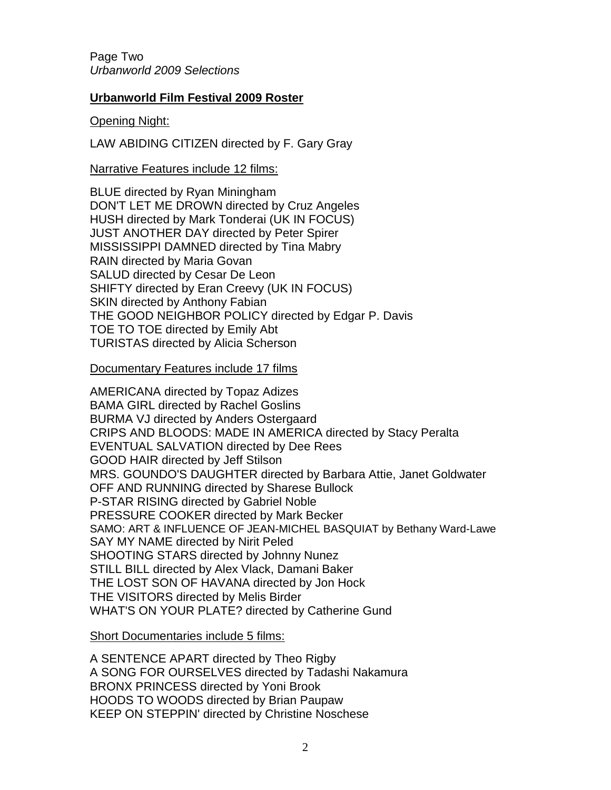Page Two *Urbanworld 2009 Selections*

## **Urbanworld Film Festival 2009 Roster**

### Opening Night:

LAW ABIDING CITIZEN directed by F. Gary Gray

### Narrative Features include 12 films:

BLUE directed by Ryan Miningham DON'T LET ME DROWN directed by Cruz Angeles HUSH directed by Mark Tonderai (UK IN FOCUS) JUST ANOTHER DAY directed by Peter Spirer MISSISSIPPI DAMNED directed by Tina Mabry RAIN directed by Maria Govan SALUD directed by Cesar De Leon SHIFTY directed by Eran Creevy (UK IN FOCUS) SKIN directed by Anthony Fabian THE GOOD NEIGHBOR POLICY directed by Edgar P. Davis TOE TO TOE directed by Emily Abt TURISTAS directed by Alicia Scherson

#### Documentary Features include 17 films

AMERICANA directed by Topaz Adizes BAMA GIRL directed by Rachel Goslins BURMA VJ directed by Anders Ostergaard CRIPS AND BLOODS: MADE IN AMERICA directed by Stacy Peralta EVENTUAL SALVATION directed by Dee Rees GOOD HAIR directed by Jeff Stilson MRS. GOUNDO'S DAUGHTER directed by Barbara Attie, Janet Goldwater OFF AND RUNNING directed by Sharese Bullock P-STAR RISING directed by Gabriel Noble PRESSURE COOKER directed by Mark Becker SAMO: ART & INFLUENCE OF JEAN-MICHEL BASQUIAT by Bethany Ward-Lawe SAY MY NAME directed by Nirit Peled SHOOTING STARS directed by Johnny Nunez STILL BILL directed by Alex Vlack, Damani Baker THE LOST SON OF HAVANA directed by Jon Hock THE VISITORS directed by Melis Birder WHAT'S ON YOUR PLATE? directed by Catherine Gund

Short Documentaries include 5 films:

A SENTENCE APART directed by Theo Rigby A SONG FOR OURSELVES directed by Tadashi Nakamura BRONX PRINCESS directed by Yoni Brook HOODS TO WOODS directed by Brian Paupaw KEEP ON STEPPIN' directed by Christine Noschese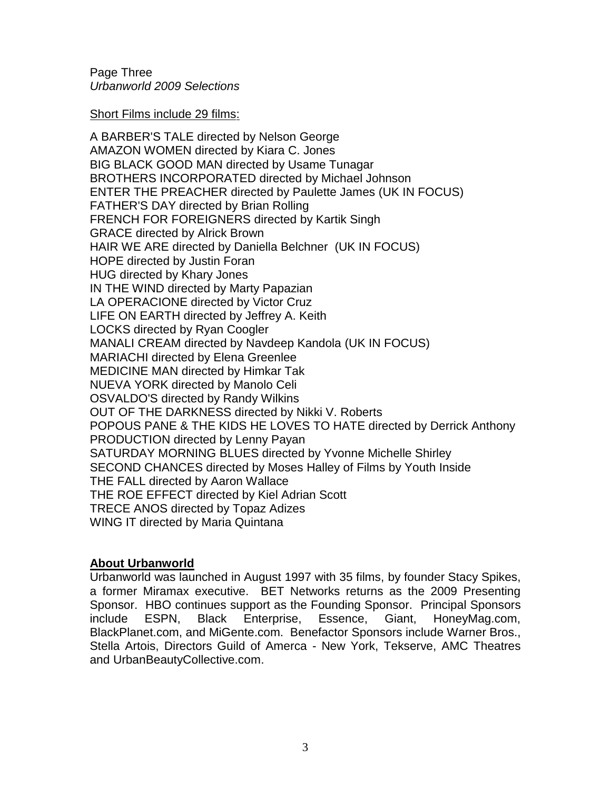Page Three *Urbanworld 2009 Selections*

Short Films include 29 films:

A BARBER'S TALE directed by Nelson George AMAZON WOMEN directed by Kiara C. Jones BIG BLACK GOOD MAN directed by Usame Tunagar BROTHERS INCORPORATED directed by Michael Johnson ENTER THE PREACHER directed by Paulette James (UK IN FOCUS) FATHER'S DAY directed by Brian Rolling FRENCH FOR FOREIGNERS directed by Kartik Singh GRACE directed by Alrick Brown HAIR WE ARE directed by Daniella Belchner (UK IN FOCUS) HOPE directed by Justin Foran HUG directed by Khary Jones IN THE WIND directed by Marty Papazian LA OPERACIONE directed by Victor Cruz LIFE ON EARTH directed by Jeffrey A. Keith LOCKS directed by Ryan Coogler MANALI CREAM directed by Navdeep Kandola (UK IN FOCUS) MARIACHI directed by Elena Greenlee MEDICINE MAN directed by Himkar Tak NUEVA YORK directed by Manolo Celi OSVALDO'S directed by Randy Wilkins OUT OF THE DARKNESS directed by Nikki V. Roberts POPOUS PANE & THE KIDS HE LOVES TO HATE directed by Derrick Anthony PRODUCTION directed by Lenny Payan SATURDAY MORNING BLUES directed by Yvonne Michelle Shirley SECOND CHANCES directed by Moses Halley of Films by Youth Inside THE FALL directed by Aaron Wallace THE ROE EFFECT directed by Kiel Adrian Scott TRECE ANOS directed by Topaz Adizes WING IT directed by Maria Quintana

# **About Urbanworld**

Urbanworld was launched in August 1997 with 35 films, by founder Stacy Spikes, a former Miramax executive. BET Networks returns as the 2009 Presenting Sponsor. HBO continues support as the Founding Sponsor.Principal Sponsors include ESPN, Black Enterprise, Essence, Giant, HoneyMag.com, BlackPlanet.com, and MiGente.com. Benefactor Sponsors include Warner Bros., Stella Artois, Directors Guild of Amerca - New York, Tekserve, AMC Theatres and UrbanBeautyCollective.com.